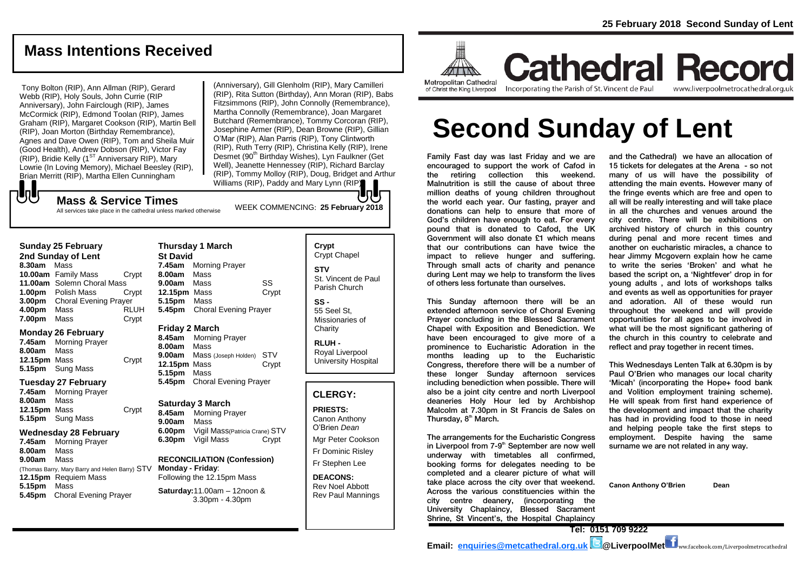# **Mass Intentions Received**

Tony Bolton (RIP), Ann Allman (RIP), Gerard Webb (RIP), Holy Souls, John Currie (RIP Anniversary), John Fairclough (RIP), James McCormick (RIP), Edmond Toolan (RIP), James Graham (RIP), Margaret Cookson (RIP), Martin Bell (RIP), Joan Morton (Birthday Remembrance), Agnes and Dave Owen (RIP), Tom and Sheila Muir (Good Health), Andrew Dobson (RIP), Victor Fay  $(RIP)$ , Bridie Kelly (1<sup>ST</sup> Anniversary RIP), Mary Lowrie (In Loving Memory), Michael Beesley (RIP), Brian Merritt (RIP), Martha Ellen Cunningham

WEEK COMMENCING: **25 February <sup>2018</sup> Mass & Service Times** (Anniversary), Gill Glenholm (RIP), Mary Camilleri (RIP), Rita Sutton (Birthday), Ann Moran (RIP), Babs Fitzsimmons (RIP), John Connolly (Remembrance), Martha Connolly (Remembrance), Joan Margaret Butchard (Remembrance), Tommy Corcoran (RIP), Josephine Armer (RIP), Dean Browne (RIP), Gillian O'Mar (RIP), Alan Parris (RIP), Tony Clintworth (RIP), Ruth Terry (RIP), Christina Kelly (RIP), Irene Desmet (90<sup>th</sup> Birthday Wishes), Lyn Faulkner (Get Well), Jeanette Hennessey (RIP), Richard Barclay (RIP), Tommy Molloy (RIP), Doug, Bridget and Arthur Williams (RIP), Paddy and Mary Lynn (RIP).

# JJ

All services take place in the cathedral unless marked otherwise

### **Sunday 25 February**

**2nd Sunday of Lent 8.30am** Mass **10.00am** Family Mass Crypt **11.00am** Solemn Choral Mass **1.00pm** Polish Mass Crypt **3.00pm** Choral Evening Prayer **4.00pm** Mass RLUH **7.00pm** Mass Crypt

### **Monday 26 February**

**7.45am** Morning Prayer **8.00am** Mass **12.15pm** Mass Crypt **5.15pm** Sung Mass

### **Tuesday 27 February**

**7.45am** Morning Prayer **8.00am** Mass **12.15pm** Mass Crypt **5.15pm** Sung Mass

### **Wednesday 28 February**

**7.45am** Morning Prayer **8.00am** Mass **9.00am** Mass (Thomas Barry, Mary Barry and Helen Barry) STV **12.15pm** Requiem Mass **5.15pm** Mass **5.45pm** Choral Evening Prayer

### **Thursday 1 March St David 7.45am** Morning Prayer **8.00am** Mass **9.00am** Mass SS **12.15pm** Mass Crypt **5.15pm** Mass **5.45pm** Choral Evening Prayer

### **Friday 2 March**

**8.45am** Morning Prayer **8.00am** Mass **9.00am** Mass (Joseph Holden) STV **12.15pm** Mass Crypt **5.15pm** Mass **5.45pm** Choral Evening Prayer

### **Saturday 3 March**

**8.45am** Morning Prayer **9.00am** Mass **6.00pm** Vigil Mass(Patricia Crane) STV **6.30pm** Vigil Mass Crypt

#### **RECONCILIATION (Confession) Monday - Friday**: Following the 12.15pm Mass

**Saturday:**11.00am – 12noon & 3.30pm - 4.30pm

# **Crypt**  Crypt Chapel **STV** St. Vincent de Paul Parish Church

**SS -** 55 Seel St, Missionaries of **Charity** 

**RLUH -** Royal Liverpool University Hospital

### **CLERGY:**

**PRIESTS:** Canon Anthony O'Brien *Dean* Mgr Peter Cookson Fr Dominic Risley Fr Stephen Lee

**DEACONS:** Rev Noel Abbott Rev Paul Mannings



**Cathedral Record** Incorporating the Parish of St. Vincent de Paul

www.liverpoolmetrocathedral.org.uk

# **Second Sunday of Lent**

Family Fast day was last Friday and we are encouraged to support the work of Cafod in the retiring collection this weekend. Malnutrition is still the cause of about three million deaths of young children throughout the world each year. Our fasting, prayer and donations can help to ensure that more of God's children have enough to eat. For every pound that is donated to Cafod, the UK Government will also donate £1 which means that our contributions can have twice the impact to relieve hunger and suffering. Through small acts of charity and penance during Lent may we help to transform the lives of others less fortunate than ourselves.

This Sunday afternoon there will be an extended afternoon service of Choral Evening Prayer concluding in the Blessed Sacrament Chapel with Exposition and Benediction. We have been encouraged to give more of a prominence to Eucharistic Adoration in the months leading up to the Eucharistic Congress, therefore there will be a number of these longer Sunday afternoon services including benediction when possible. There will also be a joint city centre and north Liverpool deaneries Holy Hour led by Archbishop Malcolm at 7.30pm in St Francis de Sales on Thursday, 8<sup>th</sup> March.

The arrangements for the Eucharistic Congress in Liverpool from 7-9<sup>th</sup> September are now well underway with timetables all confirmed, booking forms for delegates needing to be completed and a clearer picture of what will take place across the city over that weekend. Across the various constituencies within the city centre deanery, (incorporating the University Chaplaincy, Blessed Sacrament Shrine, St Vincent's, the Hospital Chaplaincy

and the Cathedral) we have an allocation of 15 tickets for delegates at the Arena - so not many of us will have the possibility of attending the main events. However many of the fringe events which are free and open to all will be really interesting and will take place in all the churches and venues around the city centre. There will be exhibitions on archived history of church in this country during penal and more recent times and another on eucharistic miracles, a chance to hear Jimmy Mcgovern explain how he came to write the series 'Broken' and what he based the script on, a 'Nightfever' drop in for young adults , and lots of workshops talks and events as well as opportunities for prayer and adoration. All of these would run throughout the weekend and will provide opportunities for all ages to be involved in what will be the most significant gathering of the church in this country to celebrate and reflect and pray together in recent times.

This Wednesdays Lenten Talk at 6.30pm is by Paul O'Brien who manages our local charity 'Micah' (incorporating the Hope+ food bank and Volition employment training scheme). He will speak from first hand experience of the development and impact that the charity has had in providing food to those in need and helping people take the first steps to employment. Despite having the same surname we are not related in any way.

**Canon Anthony O'Brien Dean**